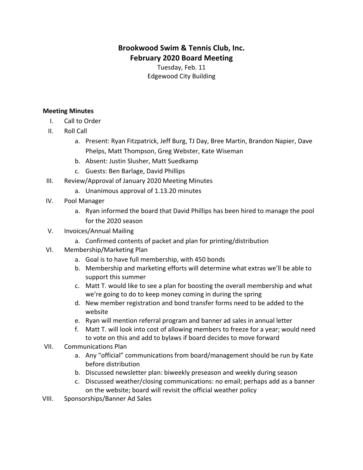## **Brookwood Swim & Tennis Club, Inc. February 2020 Board Meeting**

Tuesday, Feb. 11 Edgewood City Building

## **Meeting Minutes**

- I. Call to Order
- II. Roll Call
	- a. Present: Ryan Fitzpatrick, Jeff Burg, TJ Day, Bree Martin, Brandon Napier, Dave Phelps, Matt Thompson, Greg Webster, Kate Wiseman
	- b. Absent: Justin Slusher, Matt Suedkamp
	- c. Guests: Ben Barlage, David Phillips
- III. Review/Approval of January 2020 Meeting Minutes
	- a. Unanimous approval of 1.13.20 minutes
- IV. Pool Manager
	- a. Ryan informed the board that David Phillips has been hired to manage the pool for the 2020 season
- V. Invoices/Annual Mailing
	- a. Confirmed contents of packet and plan for printing/distribution
- VI. Membership/Marketing Plan
	- a. Goal is to have full membership, with 450 bonds
	- b. Membership and marketing efforts will determine what extras we'll be able to support this summer
	- c. Matt T. would like to see a plan for boosting the overall membership and what we're going to do to keep money coming in during the spring
	- d. New member registration and bond transfer forms need to be added to the website
	- e. Ryan will mention referral program and banner ad sales in annual letter
	- f. Matt T. will look into cost of allowing members to freeze for a year; would need to vote on this and add to bylaws if board decides to move forward
- VII. Communications Plan
	- a. Any "official" communications from board/management should be run by Kate before distribution
	- b. Discussed newsletter plan: biweekly preseason and weekly during season
	- c. Discussed weather/closing communications: no email; perhaps add as a banner on the website; board will revisit the official weather policy
- VIII. Sponsorships/Banner Ad Sales